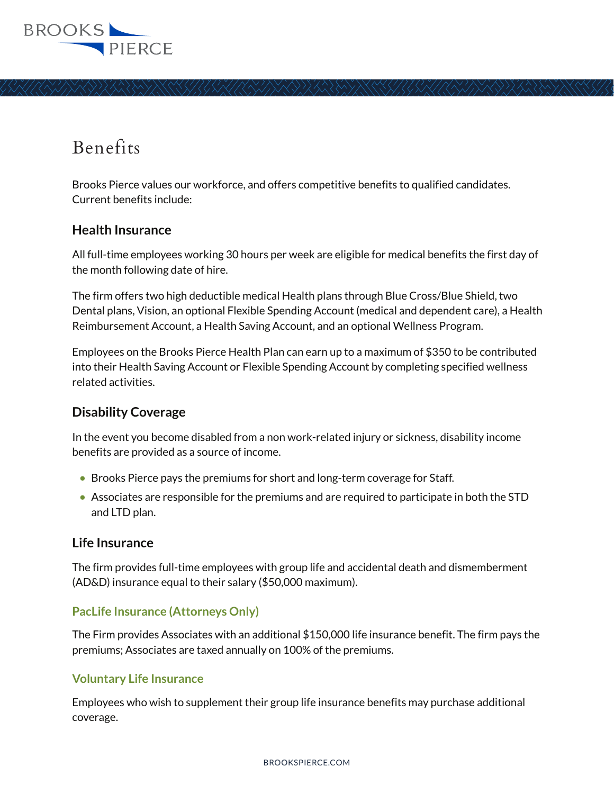

# Benefits

Brooks Pierce values our workforce, and offers competitive benefits to qualified candidates. Current benefits include:

#### **Health Insurance**

All full-time employees working 30 hours per week are eligible for medical benefits the first day of the month following date of hire.

The firm offers two high deductible medical Health plans through Blue Cross/Blue Shield, two Dental plans, Vision, an optional Flexible Spending Account (medical and dependent care), a Health Reimbursement Account, a Health Saving Account, and an optional Wellness Program.

Employees on the Brooks Pierce Health Plan can earn up to a maximum of \$350 to be contributed into their Health Saving Account or Flexible Spending Account by completing specified wellness related activities.

## **Disability Coverage**

In the event you become disabled from a non work-related injury or sickness, disability income benefits are provided as a source of income.

- Brooks Pierce pays the premiums for short and long-term coverage for Staff.
- $\bullet$  Associates are responsible for the premiums and are required to participate in both the STD and LTD plan.

#### **Life Insurance**

The firm provides full-time employees with group life and accidental death and dismemberment (AD&D) insurance equal to their salary (\$50,000 maximum).

#### **PacLife Insurance (Attorneys Only)**

The Firm provides Associates with an additional \$150,000 life insurance benefit. The firm pays the premiums; Associates are taxed annually on 100% of the premiums.

#### **Voluntary Life Insurance**

Employees who wish to supplement their group life insurance benefits may purchase additional coverage.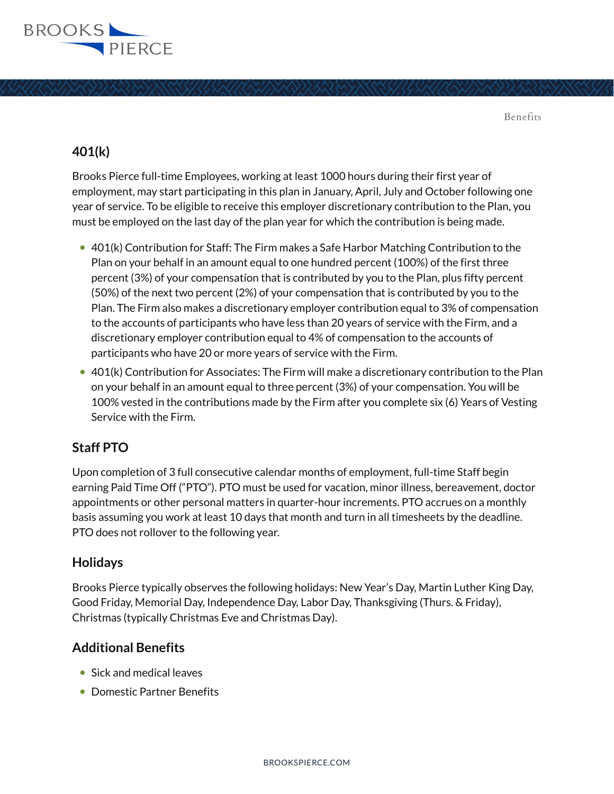

Benefits

# **401(k)**

Brooks Pierce full-time Employees, working at least 1000 hours during their first year of employment, may start participating in this plan in January, April, July and October following one year of service. To be eligible to receive this employer discretionary contribution to the Plan, you must be employed on the last day of the plan year for which the contribution is being made.

- 401(k) Contribution for Staff: The Firm makes a Safe Harbor Matching Contribution to the Plan on your behalf in an amount equal to one hundred percent (100%) of the first three percent (3%) of your compensation that is contributed by you to the Plan, plus fifty percent (50%) of the next two percent (2%) of your compensation that is contributed by you to the Plan. The Firm also makes a discretionary employer contribution equal to 3% of compensation to the accounts of participants who have less than 20 years of service with the Firm, and a discretionary employer contribution equal to 4% of compensation to the accounts of participants who have 20 or more years of service with the Firm.
- $\bullet$  401(k) Contribution for Associates: The Firm will make a discretionary contribution to the Plan on your behalf in an amount equal to three percent (3%) of your compensation. You will be 100% vested in the contributions made by the Firm after you complete six (6) Years of Vesting Service with the Firm.

# **Staff PTO**

Upon completion of 3 full consecutive calendar months of employment, full-time Staff begin earning Paid Time Off ("PTO"). PTO must be used for vacation, minor illness, bereavement, doctor appointments or other personal matters in quarter-hour increments. PTO accrues on a monthly basis assuming you work at least 10 days that month and turn in all timesheets by the deadline. PTO does not rollover to the following year.

## **Holidays**

Brooks Pierce typically observes the following holidays: New Year's Day, Martin Luther King Day, Good Friday, Memorial Day, Independence Day, Labor Day, Thanksgiving (Thurs. & Friday), Christmas (typically Christmas Eve and Christmas Day).

## **Additional Benefits**

- Sick and medical leaves
- Domestic Partner Benefits